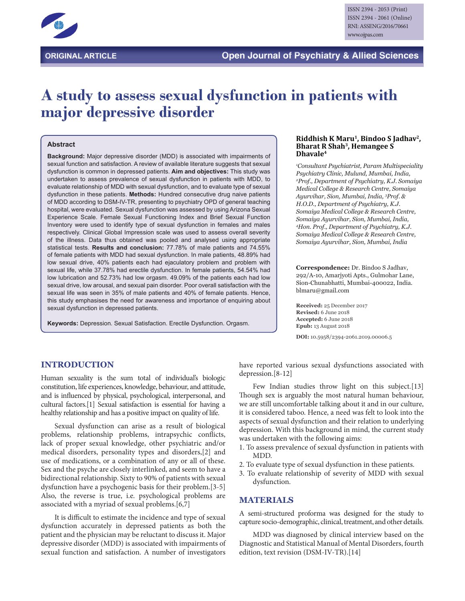

# **A study to assess sexual dysfunction in patients with major depressive disorder**

#### **Abstract**

**Background:** Major depressive disorder (MDD) is associated with impairments of sexual function and satisfaction. A review of available literature suggests that sexual dysfunction is common in depressed patients. **Aim and objectives:** This study was undertaken to assess prevalence of sexual dysfunction in patients with MDD, to evaluate relationship of MDD with sexual dysfunction, and to evaluate type of sexual dysfunction in these patients. **Methods:** Hundred consecutive drug naive patients of MDD according to DSM-IV-TR, presenting to psychiatry OPD of general teaching hospital, were evaluated. Sexual dysfunction was assessed by using Arizona Sexual Experience Scale. Female Sexual Functioning Index and Brief Sexual Function Inventory were used to identify type of sexual dysfunction in females and males respectively. Clinical Global Impression scale was used to assess overall severity of the illness. Data thus obtained was pooled and analysed using appropriate statistical tests. **Results and conclusion:** 77.78% of male patients and 74.55% of female patients with MDD had sexual dysfunction. In male patients, 48.89% had low sexual drive, 40% patients each had ejaculatory problem and problem with sexual life, while 37.78% had erectile dysfunction. In female patients, 54.54% had low lubrication and 52.73% had low orgasm. 49.09% of the patients each had low sexual drive, low arousal, and sexual pain disorder. Poor overall satisfaction with the sexual life was seen in 35% of male patients and 40% of female patients. Hence, this study emphasises the need for awareness and importance of enquiring about sexual dysfunction in depressed patients.

**Keywords:** Depression. Sexual Satisfaction. Erectile Dysfunction. Orgasm.

#### Riddhish K Maru<sup>1</sup>, Bindoo S Jadhav<sup>2</sup>, **Bharat R Shah3, Hemangee S Dhavale4**

*1 Consultant Psychiatrist, Param Multispeciality Psychiatry Clinic, Mulund, Mumbai, India, 2 Prof., Department of Psychiatry, K.J. Somaiya Medical College & Research Centre, Somaiya Ayurvihar, Sion, Mumbai, India, 3 Prof. & H.O.D., Department of Psychiatry, K.J. Somaiya Medical College & Research Centre, Somaiya Ayurvihar, Sion, Mumbai, India, 4 Hon. Prof., Department of Psychiatry, K.J. Somaiya Medical College & Research Centre, Somaiya Ayurvihar, Sion, Mumbai, India*

**Correspondence:** Dr. Bindoo S Jadhav, 292/A-10, Amarjyoti Apts., Gulmohar Lane, Sion-Chunabhatti, Mumbai-400022, India. blmaru@gmail.com

**Received:** 25 December 2017 **Revised:** 6 June 2018 **Accepted:** 6 June 2018 **Epub:** 13 August 2018

**DOI:** 10.5958/2394-2061.2019.00006.5

# **INTRODUCTION**

Human sexuality is the sum total of individual's biologic constitution, life experiences, knowledge, behaviour, and attitude, and is influenced by physical, psychological, interpersonal, and cultural factors.[1] Sexual satisfaction is essential for having a healthy relationship and has a positive impact on quality of life.

Sexual dysfunction can arise as a result of biological problems, relationship problems, intrapsychic conflicts, lack of proper sexual knowledge, other psychiatric and/or medical disorders, personality types and disorders,[2] and use of medications, or a combination of any or all of these. Sex and the psyche are closely interlinked, and seem to have a bidirectional relationship. Sixty to 90% of patients with sexual dysfunction have a psychogenic basis for their problem.[3-5] Also, the reverse is true, i.e. psychological problems are associated with a myriad of sexual problems.[6,7]

It is difficult to estimate the incidence and type of sexual dysfunction accurately in depressed patients as both the patient and the physician may be reluctant to discuss it. Major depressive disorder (MDD) is associated with impairments of sexual function and satisfaction. A number of investigators

have reported various sexual dysfunctions associated with depression.[8-12]

Few Indian studies throw light on this subject.<sup>[13]</sup> Though sex is arguably the most natural human behaviour, we are still uncomfortable talking about it and in our culture, it is considered taboo. Hence, a need was felt to look into the aspects of sexual dysfunction and their relation to underlying depression. With this background in mind, the current study was undertaken with the following aims:

- 1. To assess prevalence of sexual dysfunction in patients with MDD.
- 2. To evaluate type of sexual dysfunction in these patients.
- 3. To evaluate relationship of severity of MDD with sexual dysfunction.

#### **MATERIALS**

A semi-structured proforma was designed for the study to capture socio-demographic, clinical, treatment, and other details.

MDD was diagnosed by clinical interview based on the Diagnostic and Statistical Manual of Mental Disorders, fourth edition, text revision (DSM-IV-TR).[14]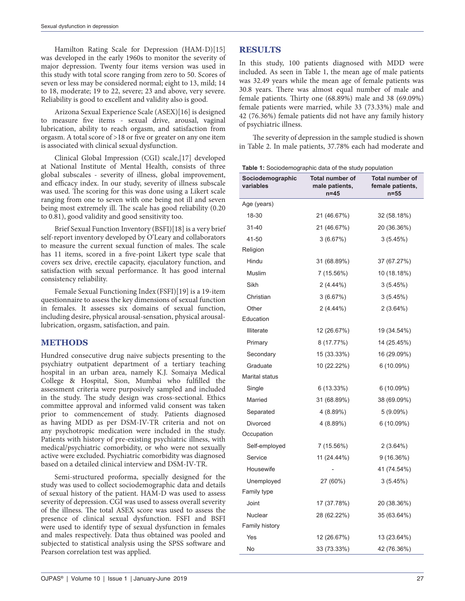Hamilton Rating Scale for Depression (HAM-D)[15] was developed in the early 1960s to monitor the severity of major depression. Twenty four items version was used in this study with total score ranging from zero to 50. Scores of seven or less may be considered normal; eight to 13, mild; 14 to 18, moderate; 19 to 22, severe; 23 and above, very severe. Reliability is good to excellent and validity also is good.

Arizona Sexual Experience Scale (ASEX)[16] is designed to measure five items - sexual drive, arousal, vaginal lubrication, ability to reach orgasm, and satisfaction from orgasm. A total score of >18 or five or greater on any one item is associated with clinical sexual dysfunction.

Clinical Global Impression (CGI) scale,[17] developed at National Institute of Mental Health, consists of three global subscales - severity of illness, global improvement, and efficacy index. In our study, severity of illness subscale was used. The scoring for this was done using a Likert scale ranging from one to seven with one being not ill and seven being most extremely ill. The scale has good reliability (0.20 to 0.81), good validity and good sensitivity too.

Brief Sexual Function Inventory (BSFI)[18] is a very brief self-report inventory developed by O'Leary and collaborators to measure the current sexual function of males. The scale has 11 items, scored in a five-point Likert type scale that covers sex drive, erectile capacity, ejaculatory function, and satisfaction with sexual performance. It has good internal consistency reliability.

Female Sexual Functioning Index (FSFI)[19] is a 19-item questionnaire to assess the key dimensions of sexual function in females. It assesses six domains of sexual function, including desire, physical arousal-sensation, physical arousallubrication, orgasm, satisfaction, and pain.

# **METHODS**

Hundred consecutive drug naive subjects presenting to the psychiatry outpatient department of a tertiary teaching hospital in an urban area, namely K.J. Somaiya Medical College & Hospital, Sion, Mumbai who fulfilled the assessment criteria were purposively sampled and included in the study. The study design was cross-sectional. Ethics committee approval and informed valid consent was taken prior to commencement of study. Patients diagnosed as having MDD as per DSM-IV-TR criteria and not on any psychotropic medication were included in the study. Patients with history of pre-existing psychiatric illness, with medical/psychiatric comorbidity, or who were not sexually active were excluded. Psychiatric comorbidity was diagnosed based on a detailed clinical interview and DSM-IV-TR.

Semi-structured proforma, specially designed for the study was used to collect sociodemographic data and details of sexual history of the patient. HAM-D was used to assess severity of depression. CGI was used to assess overall severity of the illness. The total ASEX score was used to assess the presence of clinical sexual dysfunction. FSFI and BSFI were used to identify type of sexual dysfunction in females and males respectively. Data thus obtained was pooled and subjected to statistical analysis using the SPSS software and Pearson correlation test was applied.

# **RESULTS**

In this study, 100 patients diagnosed with MDD were included. As seen in Table 1, the mean age of male patients was 32.49 years while the mean age of female patients was 30.8 years. There was almost equal number of male and female patients. Thirty one (68.89%) male and 38 (69.09%) female patients were married, while 33 (73.33%) male and 42 (76.36%) female patients did not have any family history of psychiatric illness.

The severity of depression in the sample studied is shown in Table 2. In male patients, 37.78% each had moderate and

| Sociodemographic<br>variables | Total number of<br>male patients,<br>$n=45$ | <b>Total number of</b><br>female patients,<br>$n = 55$ |
|-------------------------------|---------------------------------------------|--------------------------------------------------------|
| Age (years)                   |                                             |                                                        |
| 18-30                         | 21 (46.67%)                                 | 32 (58.18%)                                            |
| $31 - 40$                     | 21 (46.67%)                                 | 20 (36.36%)                                            |
| 41-50                         | 3(6.67%)                                    | 3(5.45%)                                               |
| Religion                      |                                             |                                                        |
| Hindu                         | 31 (68.89%)                                 | 37 (67.27%)                                            |
| Muslim                        | 7 (15.56%)                                  | 10 (18.18%)                                            |
| Sikh                          | $2(4.44\%)$                                 | 3(5.45%)                                               |
| Christian                     | 3(6.67%)                                    | 3(5.45%)                                               |
| Other                         | $2(4.44\%)$                                 | 2(3.64%)                                               |
| Education                     |                                             |                                                        |
| <b>Illiterate</b>             | 12 (26.67%)                                 | 19 (34.54%)                                            |
| Primary                       | 8 (17.77%)                                  | 14 (25.45%)                                            |
| Secondary                     | 15 (33.33%)                                 | 16 (29.09%)                                            |
| Graduate                      | 10 (22.22%)                                 | $6(10.09\%)$                                           |
| Marital status                |                                             |                                                        |
| Single                        | $6(13.33\%)$                                | 6 (10.09%)                                             |
| Married                       | 31 (68.89%)                                 | 38 (69.09%)                                            |
| Separated                     | 4(8.89%)                                    | 5(9.09%)                                               |
| Divorced                      | 4 (8.89%)                                   | $6(10.09\%)$                                           |
| Occupation                    |                                             |                                                        |
| Self-employed                 | 7 (15.56%)                                  | $2(3.64\%)$                                            |
| Service                       | 11 (24.44%)                                 | 9 (16.36%)                                             |
| Housewife                     |                                             | 41 (74.54%)                                            |
| Unemployed                    | 27 (60%)                                    | 3(5.45%)                                               |
| Family type                   |                                             |                                                        |
| Joint                         | 17 (37.78%)                                 | 20 (38.36%)                                            |
| Nuclear                       | 28 (62.22%)                                 | 35 (63.64%)                                            |
| Family history                |                                             |                                                        |
| Yes                           | 12 (26.67%)                                 | 13 (23.64%)                                            |
| No                            | 33 (73.33%)                                 | 42 (76.36%)                                            |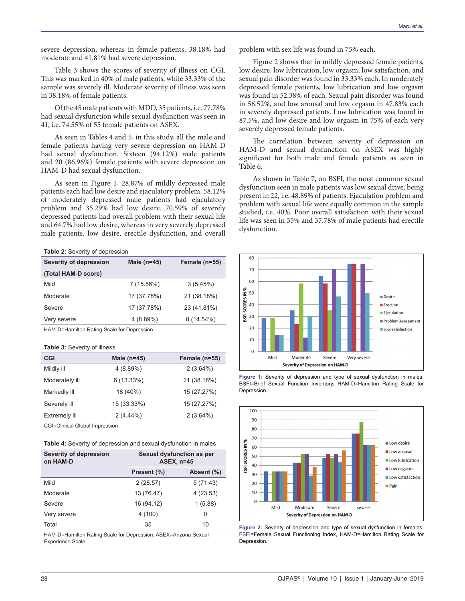severe depression, whereas in female patients, 38.18% had moderate and 41.81% had severe depression.

Table 3 shows the scores of severity of illness on CGI. This was marked in 40% of male patients, while 33.33% of the sample was severely ill. Moderate severity of illness was seen in 38.18% of female patients.

Of the 45 male patients with MDD, 35 patients, i.e. 77.78% had sexual dysfunction while sexual dysfunction was seen in 41, i.e. 74.55% of 55 female patients on ASEX.

As seen in Tables 4 and 5, in this study, all the male and female patients having very severe depression on HAM-D had sexual dysfunction. Sixteen (94.12%) male patients and 20 (86.96%) female patients with severe depression on HAM-D had sexual dysfunction.

As seen in Figure 1, 28.87% of mildly depressed male patients each had low desire and ejaculatory problem. 58.12% of moderately depressed male patients had ejaculatory problem and 35.29% had low desire. 70.59% of severely depressed patients had overall problem with their sexual life and 64.7% had low desire, whereas in very severely depressed male patients, low desire, erectile dysfunction, and overall

**Table 2:** Severity of depression

| Severity of depression | Male $(n=45)$ | Female (n=55) |
|------------------------|---------------|---------------|
| (Total HAM-D score)    |               |               |
| Mild                   | $7(15.56\%)$  | 3(5.45%)      |
| Moderate               | 17 (37.78%)   | 21 (38.18%)   |
| Severe                 | 17 (37.78%)   | 23 (41.81%)   |
| Very severe            | 4 (8.89%)     | 8 (14.54%)    |

HAM-D=Hamilton Rating Scale for Depression

|  |  | <b>Table 3: Severity of illness</b> |  |  |
|--|--|-------------------------------------|--|--|
|--|--|-------------------------------------|--|--|

| Female (n=55) |
|---------------|
|               |
|               |
| 21 (38.18%)   |
| 15 (27.27%)   |
| 15 (27.27%)   |
|               |
|               |

CGI=Clinical Global Impression

| Table 4: Severity of depression and sexual dysfunction in males |  |
|-----------------------------------------------------------------|--|
|-----------------------------------------------------------------|--|

| Severity of depression<br>on HAM-D | Sexual dysfunction as per<br><b>ASEX, n=45</b> |            |
|------------------------------------|------------------------------------------------|------------|
|                                    | Present (%)                                    | Absent (%) |
| Mild                               | 2(28.57)                                       | 5(71.43)   |
| Moderate                           | 13 (76.47)                                     | 4(23.53)   |
| Severe                             | 16 (94.12)                                     | 1(5.88)    |
| Very severe                        | 4(100)                                         | 0          |
| Total                              | 35                                             | 10         |

HAM-D=Hamilton Rating Scale for Depression, ASEX=Arizona Sexual Experience Scale

problem with sex life was found in 75% each.

Figure 2 shows that in mildly depressed female patients, low desire, low lubrication, low orgasm, low satisfaction, and sexual pain disorder was found in 33.33% each. In moderately depressed female patients, low lubrication and low orgasm was found in 52.38% of each. Sexual pain disorder was found in 56.52%, and low arousal and low orgasm in 47.83% each in severely depressed patients. Low lubrication was found in 87.5%, and low desire and low orgasm in 75% of each very severely depressed female patients.

The correlation between severity of depression on HAM-D and sexual dysfunction on ASEX was highly significant for both male and female patients as seen in Table 6.

As shown in Table 7, on BSFI, the most common sexual dysfunction seen in male patients was low sexual drive, being present in 22, i.e. 48.89% of patients. Ejaculation problem and problem with sexual life were equally common in the sample studied, i.e. 40%. Poor overall satisfaction with their sexual life was seen in 35% and 37.78% of male patients had erectile dysfunction.



**Figure 1:** Severity of depression and type of sexual dysfunction in males. BSFI=Brief Sexual Function Inventory, HAM-D=Hamilton Rating Scale for Depression.



**Figure 2:** Severity of depression and type of sexual dysfunction in females. FSFI=Female Sexual Functioning Index, HAM-D=Hamilton Rating Scale for Depression.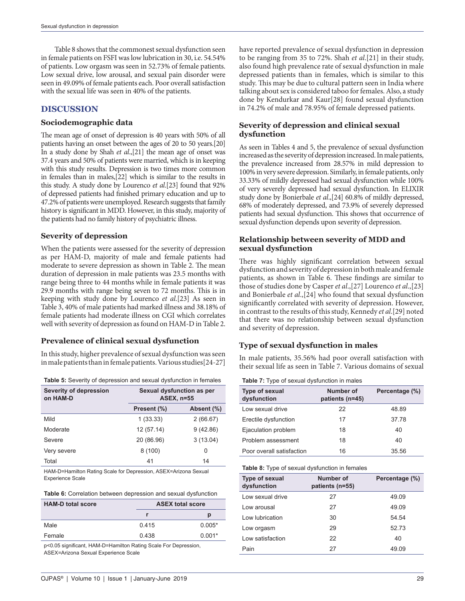Table 8 shows that the commonest sexual dysfunction seen in female patients on FSFI was low lubrication in 30, i.e. 54.54% of patients. Low orgasm was seen in 52.73% of female patients. Low sexual drive, low arousal, and sexual pain disorder were seen in 49.09% of female patients each. Poor overall satisfaction with the sexual life was seen in 40% of the patients.

# **DISCUSSION**

#### **Sociodemographic data**

The mean age of onset of depression is 40 years with 50% of all patients having an onset between the ages of 20 to 50 years.[20] In a study done by Shah *et al*.,[21] the mean age of onset was 37.4 years and 50% of patients were married, which is in keeping with this study results. Depression is two times more common in females than in males,[22] which is similar to the results in this study. A study done by Lourenco *et al*.[23] found that 92% of depressed patients had finished primary education and up to 47.2% of patients were unemployed. Research suggests that family history is significant in MDD. However, in this study, majority of the patients had no family history of psychiatric illness.

# **Severity of depression**

When the patients were assessed for the severity of depression as per HAM-D, majority of male and female patients had moderate to severe depression as shown in Table 2. The mean duration of depression in male patients was 23.5 months with range being three to 44 months while in female patients it was 29.9 months with range being seven to 72 months. This is in keeping with study done by Lourenco *et al*.[23] As seen in Table 3, 40% of male patients had marked illness and 38.18% of female patients had moderate illness on CGI which correlates well with severity of depression as found on HAM-D in Table 2.

# **Prevalence of clinical sexual dysfunction**

In this study, higher prevalence of sexual dysfunction was seen in male patients than in female patients. Various studies[24-27]

|  | Table 5: Severity of depression and sexual dysfunction in females |
|--|-------------------------------------------------------------------|
|--|-------------------------------------------------------------------|

| Severity of depression<br>on HAM-D | Sexual dysfunction as per<br><b>ASEX, n=55</b> |            |  |
|------------------------------------|------------------------------------------------|------------|--|
|                                    | Present (%)                                    | Absent (%) |  |
| Mild                               | 1(33.33)                                       | 2(66.67)   |  |
| Moderate                           | 12 (57.14)                                     | 9(42.86)   |  |
| Severe                             | 20 (86.96)                                     | 3(13.04)   |  |
| Very severe                        | 8(100)                                         | 0          |  |
| Total                              | 41                                             | 14         |  |

HAM-D=Hamilton Rating Scale for Depression, ASEX=Arizona Sexual Experience Scale

| <b>HAM-D total score</b> | <b>ASEX total score</b> |          |
|--------------------------|-------------------------|----------|
|                          |                         | р        |
| Male                     | 0415                    | $0.005*$ |
| Female                   | 0.438                   | $0.001*$ |

p<0.05 significant, HAM‑D=Hamilton Rating Scale For Depression, ASEX=Arizona Sexual Experience Scale

have reported prevalence of sexual dysfunction in depression to be ranging from 35 to 72%. Shah *et al*.[21] in their study, also found high prevalence rate of sexual dysfunction in male depressed patients than in females, which is similar to this study. This may be due to cultural pattern seen in India where talking about sex is considered taboo for females. Also, a study done by Kendurkar and Kaur[28] found sexual dysfunction in 74.2% of male and 78.95% of female depressed patients.

# **Severity of depression and clinical sexual dysfunction**

As seen in Tables 4 and 5, the prevalence of sexual dysfunction increased as the severity of depression increased. In male patients, the prevalence increased from 28.57% in mild depression to 100% in very severe depression. Similarly, in female patients, only 33.33% of mildly depressed had sexual dysfunction while 100% of very severely depressed had sexual dysfunction. In ELIXIR study done by Bonierbale *et al*.,[24] 60.8% of mildly depressed, 68% of moderately depressed, and 73.9% of severely depressed patients had sexual dysfunction. This shows that occurrence of sexual dysfunction depends upon severity of depression.

#### **Relationship between severity of MDD and sexual dysfunction**

There was highly significant correlation between sexual dysfunction and severity of depression in both male and female patients, as shown in Table 6. These findings are similar to those of studies done by Casper *et al*.,[27] Lourenco *et al*.,[23] and Bonierbale *et al*.,[24] who found that sexual dysfunction significantly correlated with severity of depression. However, in contrast to the results of this study, Kennedy *et al*.[29] noted that there was no relationship between sexual dysfunction and severity of depression.

# **Type of sexual dysfunction in males**

In male patients, 35.56% had poor overall satisfaction with their sexual life as seen in Table 7. Various domains of sexual

|  |  |  | Table 7: Type of sexual dysfunction in males |  |
|--|--|--|----------------------------------------------|--|
|--|--|--|----------------------------------------------|--|

| Type of sexual<br>dysfunction | Number of<br>patients (n=45) | Percentage (%) |
|-------------------------------|------------------------------|----------------|
| Low sexual drive              | 22                           | 48.89          |
| Erectile dysfunction          | 17                           | 37.78          |
| Ejaculation problem           | 18                           | 40             |
| Problem assessment            | 18                           | 40             |
| Poor overall satisfaction     | 16                           | 35.56          |

#### **Table 8:** Type of sexual dysfunction in females

| Type of sexual<br>dysfunction | Number of<br>patients (n=55) | Percentage (%) |
|-------------------------------|------------------------------|----------------|
| Low sexual drive              | 27                           | 49.09          |
| Low arousal                   | 27                           | 49.09          |
| Low lubrication               | 30                           | 54.54          |
| Low orgasm                    | 29                           | 52.73          |
| Low satisfaction              | 22                           | 40             |
| Pain                          | 27                           | 49.09          |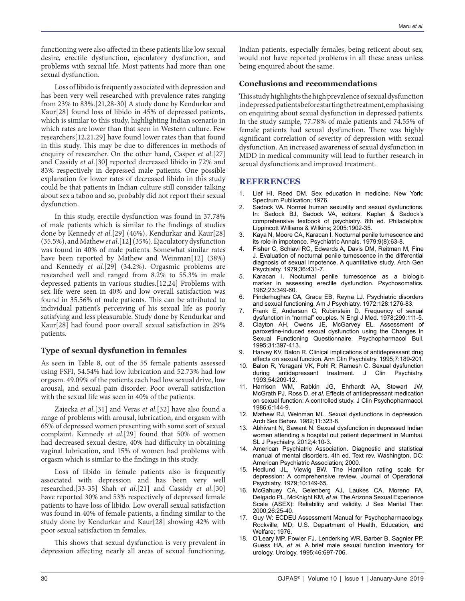functioning were also affected in these patients like low sexual desire, erectile dysfunction, ejaculatory dysfunction, and problems with sexual life. Most patients had more than one sexual dysfunction.

Loss of libido is frequently associated with depression and has been very well researched with prevalence rates ranging from 23% to 83%.[21,28-30] A study done by Kendurkar and Kaur[28] found loss of libido in 45% of depressed patients, which is similar to this study, highlighting Indian scenario in which rates are lower than that seen in Western culture. Few researchers[12,21,29] have found lower rates than that found in this study. This may be due to differences in methods of enquiry of researcher. On the other hand, Casper *et al*.[27] and Cassidy *et al*.[30] reported decreased libido in 72% and 83% respectively in depressed male patients. One possible explanation for lower rates of decreased libido in this study could be that patients in Indian culture still consider talking about sex a taboo and so, probably did not report their sexual dysfunction.

In this study, erectile dysfunction was found in 37.78% of male patients which is similar to the findings of studies done by Kennedy *et al*.[29] (46%), Kendurkar and Kaur[28] (35.5%), and Mathew *et al*.[12] (35%). Ejaculatory dysfunction was found in 40% of male patients. Somewhat similar rates have been reported by Mathew and Weinman[12] (38%) and Kennedy *et al*.[29] (34.2%). Orgasmic problems are researched well and ranged from 8.2% to 55.3% in male depressed patients in various studies.[12,24] Problems with sex life were seen in 40% and low overall satisfaction was found in 35.56% of male patients. This can be attributed to individual patient's perceiving of his sexual life as poorly satisfying and less pleasurable. Study done by Kendurkar and Kaur[28] had found poor overall sexual satisfaction in 29% patients.

# **Type of sexual dysfunction in females**

As seen in Table 8, out of the 55 female patients assessed using FSFI, 54.54% had low lubrication and 52.73% had low orgasm. 49.09% of the patients each had low sexual drive, low arousal, and sexual pain disorder. Poor overall satisfaction with the sexual life was seen in 40% of the patients.

Zajecka *et al*.[31] and Veras *et al*.[32] have also found a range of problems with arousal, lubrication, and orgasm with 65% of depressed women presenting with some sort of sexual complaint. Kennedy *et al*.[29] found that 50% of women had decreased sexual desire, 40% had difficulty in obtaining vaginal lubrication, and 15% of women had problems with orgasm which is similar to the findings in this study.

Loss of libido in female patients also is frequently associated with depression and has been very well researched.[33-35] Shah *et al*.[21] and Cassidy *et al*.[30] have reported 30% and 53% respectively of depressed female patients to have loss of libido. Low overall sexual satisfaction was found in 40% of female patients, a finding similar to the study done by Kendurkar and Kaur[28] showing 42% with poor sexual satisfaction in females.

This shows that sexual dysfunction is very prevalent in depression affecting nearly all areas of sexual functioning.

Indian patients, especially females, being reticent about sex, would not have reported problems in all these areas unless being enquired about the same.

#### **Conclusions and recommendations**

This study highlights the high prevalence of sexual dysfunction in depressed patients before starting the treatment, emphasising on enquiring about sexual dysfunction in depressed patients. In the study sample, 77.78% of male patients and 74.55% of female patients had sexual dysfunction. There was highly significant correlation of severity of depression with sexual dysfunction. An increased awareness of sexual dysfunction in MDD in medical community will lead to further research in sexual dysfunctions and improved treatment.

#### **REFERENCES**

- 1. Lief HI, Reed DM. Sex education in medicine. New York: Spectrum Publication; 1976.
- 2. Sadock VA. Normal human sexuality and sexual dysfunctions. In: Sadock BJ, Sadock VA, editors. Kaplan & Sadock's comprehensive textbook of psychiatry. 8th ed. Philadelphia: Lippincott Williams & Wilkins; 2005:1902-35.
- 3. Kaya N, Moore CA, Karacan I. Nocturnal penile tumescence and its role in impotence. Psychiatric Annals. 1979;9(8):63-8.
- 4. Fisher C, Schiavi RC, Edwards A, Davis DM, Reitman M, Fine J. Evaluation of nocturnal penile tumescence in the differential diagnosis of sexual impotence. A quantitative study. Arch Gen Psychiatry. 1979;36:431-7.
- 5. Karacan I. Nocturnal penile tumescence as a biologic marker in assessing erectile dysfunction. Psychosomatics. 1982;23:349-60.
- 6. Pinderhughes CA, Grace EB, Reyna LJ. Psychiatric disorders and sexual functioning. Am J Psychiatry. 1972;128:1276-83.
- 7. Frank E, Anderson C, Rubinstein D. Frequency of sexual dysfunction in "normal" couples. N Engl J Med. 1978;299:111-5.
- 8. Clayton AH, Owens JE, McGarvey EL. Assessment of paroxetine-induced sexual dysfunction using the Changes in Sexual Functioning Questionnaire. Psychopharmacol Bull. 1995;31:397-413.
- 9. Harvey KV, Balon R. Clinical implications of antidepressant drug effects on sexual function. Ann Clin Psychiatry. 1995;7:189-201.
- 10. Balon R, Yeragani VK, Pohl R, Ramesh C. Sexual dysfunction during antidepressant treatment. J Clin Psychiatry. 1993;54:209-12.
- 11. Harrison WM, Rabkin JG, Ehrhardt AA, Stewart JW, McGrath PJ, Ross D, *et al*. Effects of antidepressant medication on sexual function: A controlled study. J Clin Psychopharmacol. 1986;6:144-9.
- 12. Mathew RJ, Weinman ML. Sexual dysfunctions in depression. Arch Sex Behav. 1982;11:323-8.
- 13. Abhivant N, Sawant N. Sexual dysfunction in depressed Indian women attending a hospital out patient department in Mumbai. SL J Psychiatry. 2012;4:10-3.
- 14. American Psychiatric Association. Diagnostic and statistical manual of mental disorders. 4th ed. Text rev. Washington, DC: American Psychiatric Association; 2000.
- 15. Hedlund JL, Viewig BW. The Hamilton rating scale for depression: A comprehensive review. Journal of Operational Psychiatry. 1979;10:149-65.
- 16. McGahuey CA, Gelenberg AJ, Laukes CA, Moreno FA, Delgado PL, McKnight KM, *et al*. The Arizona Sexual Experience Scale (ASEX): Reliability and validity. J Sex Marital Ther. 2000;26:25-40.
- 17. Guy W: ECDEU Assessment Manual for Psychopharmacology. Rockville, MD: U.S. Department of Health, Education, and Welfare; 1976.
- 18. O'Leary MP, Fowler FJ, Lenderking WR, Barber B, Sagnier PP, Guess HA, *et al*. A brief male sexual function inventory for urology. Urology. 1995;46:697-706.